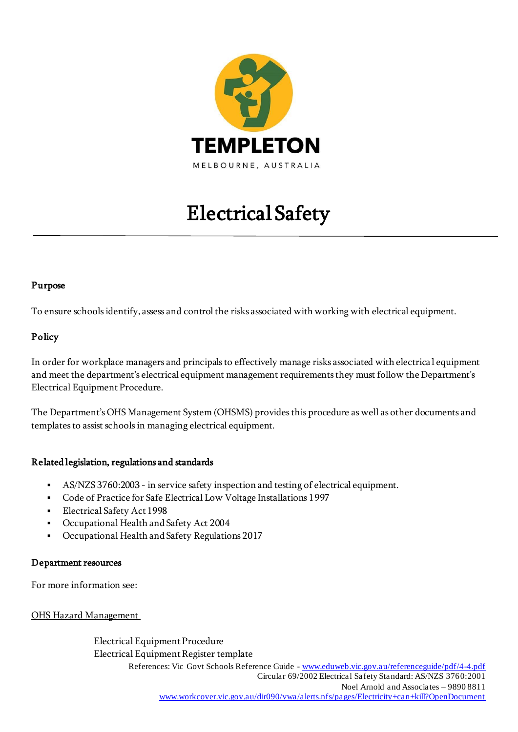

# Electrical Safety

## Purpose

To ensure schools identify, assess and control the risks associated with working with electrical equipment.

## Policy

In order for workplace managers and principals to effectively manage risks associated with electrica l equipment and meet the department's electrical equipment management requirements they must follow the Department's Electrical Equipment Procedure.

The Department's OHS Management System (OHSMS) provides this procedure as well as other documents and templates to assist schools in managing electrical equipment.

### Related legislation, regulations and standards

- AS/NZS 3760:2003 in service safety inspection and testing of electrical equipment.
- Code of Practice for Safe Electrical Low Voltage Installations 1997
- Electrical Safety Act 1998
- Occupational Health and Safety Act 2004
- Occupational Health and Safety Regulations 2017

### Department resources

For more information see:

[OHS Hazard Management](http://www.education.vic.gov.au/hrweb/safetyhw/Pages/hazardmgt.aspx)

References: Vic Govt Schools Reference Guide - [www.eduweb.vic.gov.au/referenceguide/pdf/4-4.pdf](http://www.eduweb.vic.gov.au/referenceguide/pdf/4-4.pdf)  Circular 69/2002 Electrical Safety Standard: AS/NZS 3760:2001 Noel Arnold and Associates – 9890 8811 [www.workcover.vic.gov.au/dir090/vwa/alerts.nfs/pages/Electricity+can+kill?OpenDocument](http://www.workcover.vic.gov.au/dir090/vwa/alerts.nfs/pages/Electricity+can+kill?OpenDocument) Electrical Equipment Procedure Electrical Equipment Register template